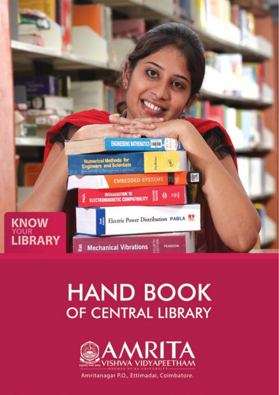

# **HAND BOOK** OF CENTRAL LIBRARY



Amritanagar P.O., Ettimadai, Coimbatore.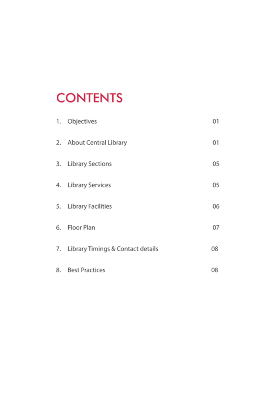# **CONTENTS**

| 1. | Objectives                           | 01 |
|----|--------------------------------------|----|
|    | 2. About Central Library             | 01 |
| 3. | <b>Library Sections</b>              | 05 |
| 4. | <b>Library Services</b>              | 05 |
| 5. | <b>Library Facilities</b>            | 06 |
|    | 6. Floor Plan                        | 07 |
|    | 7. Library Timings & Contact details | 08 |
| 8. | <b>Best Practices</b>                | 08 |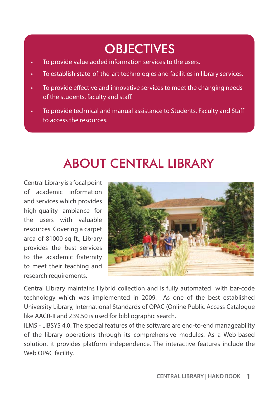### **OBJECTIVES**

- To provide value added information services to the users.
- To establish state-of-the-art technologies and facilities in library services.
- To provide effective and innovative services to meet the changing needs of the students, faculty and staff.
- To provide technical and manual assistance to Students, Faculty and Staff to access the resources.

### ABOUT CENTRAL LIBRARY

Central Library is a focal point of academic information and services which provides high-quality ambiance for the users with valuable resources. Covering a carpet area of 81000 sq ft., Library provides the best services to the academic fraternity to meet their teaching and research requirements.



Central Library maintains Hybrid collection and is fully automated with bar-code technology which was implemented in 2009. As one of the best established University Library, International Standards of OPAC (Online Public Access Catalogue like AACR-II and Z39.50 is used for bibliographic search.

ILMS - LIBSYS 4.0: The special features of the software are end-to-end manageability of the library operations through its comprehensive modules. As a Web-based solution, it provides platform independence. The interactive features include the Web OPAC facility.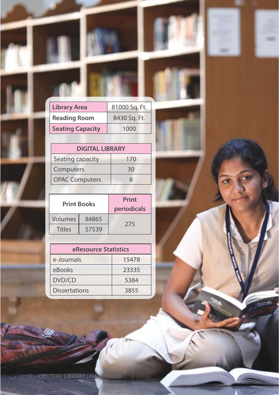| <b>Library Area</b>     | 81000 Sq. Ft. |  |
|-------------------------|---------------|--|
| <b>Reading Room</b>     | 8430 Sq. Ft.  |  |
| <b>Seating Capacity</b> | 1000          |  |
|                         |               |  |

m

**Sept** 

×

|                       | <b>DIGITAL LIBRARY</b> |  |
|-----------------------|------------------------|--|
| Seating capacity      | 170                    |  |
| Computers             | 30                     |  |
| <b>OPAC Computers</b> | x                      |  |

| <b>Print Books</b> |       | Print<br>periodicals |
|--------------------|-------|----------------------|
| Volumes            | 84865 |                      |
| <b>Titles</b>      | 57539 | 275                  |

| eResource Statistics |       |  |
|----------------------|-------|--|
| e-Journals           | 15478 |  |
| eBooks               | 23335 |  |
| DVD/CD               | 5384  |  |
| <b>Dissertations</b> | 3855  |  |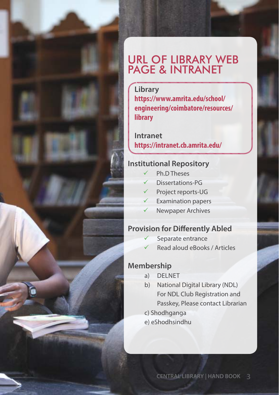#### URL OF LIBRARY WEB PAGE & INTRANET

**Library https://www.amrita.edu/school/ engineering/coimbatore/resources/ library**

**Intranet https://intranet.cb.amrita.edu/**

#### **Institutional Repository**

- Ph.D Theses
- Dissertations-PG
- Project reports-UG
- $\checkmark$  Examination papers
- Newpaper Archives

#### **Provision for Differently Abled**

- Separate entrance
- Read aloud eBooks / Articles

#### **Membership**

- a) DELNET
- b) National Digital Library (NDL) For NDL Club Registration and Passkey, Please contact Librarian
- c) Shodhganga
- e) eShodhsindhu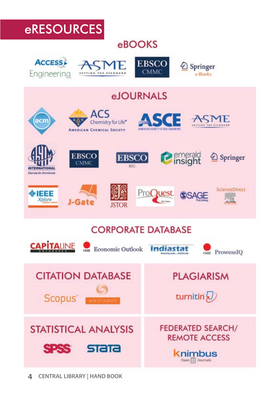### eRESOURCES

#### eBOOKS









Open [ ] Journals

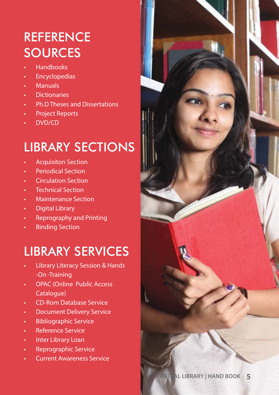# **REFERENCE SOURCES**

- Handbooks
- **Encyclopedias**
- Manuals
- Dictionaries
- Ph.D Theses and Dissertations
- Project Reports
- DVD/CD

#### LIBRARY SECTIONS

- Acquisiton Section
- Periodical Section
- Circulation Section
- **Technical Section**
- Maintenance Section
- **Digital Library**
- Reprography and Printing
- **Binding Section**

## LIBRARY SERVICES

- Library Literacy Session & Hands -On -Training
- OPAC (Online Public Access Catalogue)
- CD-Rom Database Service
- Document Delivery Service
- Bibliographic Service
- Reference Service
- Inter Library Loan
- Reprographic Service
- Current Awareness Service

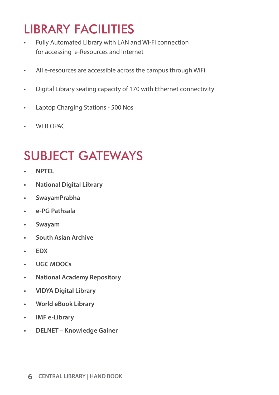## LIBRARY FACILITIES

- Fully Automated Library with LAN and Wi-Fi connection for accessing e-Resources and Internet
- All e-resources are accessible across the campus through WiFi
- Digital Library seating capacity of 170 with Ethernet connectivity
- Laptop Charging Stations 500 Nos
- WEB OPAC

## SUBJECT GATEWAYS

- **• NPTEL**
- **• National Digital Library**
- **• SwayamPrabha**
- **• e-PG Pathsala**
- **• Swayam**
- **• South Asian Archive**
- **• EDX**
- **• UGC MOOCs**
- **• National Academy Repository**
- **• VIDYA Digital Library**
- **• World eBook Library**
- **• IMF e-Library**
- **• DELNET Knowledge Gainer**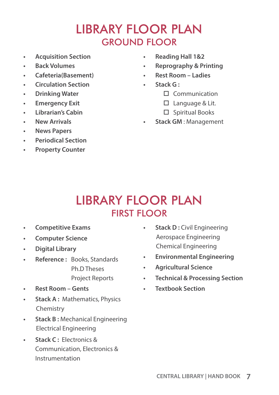#### LIBRARY FLOOR PLAN GROUND FLOOR

- **• Acquisition Section**
- **• Back Volumes**
- **• Cafeteria(Basement)**
- **• Circulation Section**
- **• Drinking Water**
- **• Emergency Exit**
- **• Librarian's Cabin**
- **• New Arrivals**
- **• News Papers**
- **• Periodical Section**
- **• Property Counter**
- **• Reading Hall 1&2**
- **• Reprography & Printing**
- **• Rest Room Ladies**
- **• Stack G :** 
	- $\Box$  Communication
	- $\square$  Language & Lit.
	- $\square$  Spiritual Books
- **• Stack GM** : Management

#### LIBRARY FLOOR PLAN FIRST FLOOR

- **• Competitive Exams**
- **• Computer Science**
- **• Digital Library**
- **• Reference :** Books, Standards Ph.D Theses Project Reports
- **• Rest Room Gents**
- **• Stack A :** Mathematics, Physics Chemistry
- **• Stack B :** Mechanical Engineering Electrical Engineering
- **• Stack C :** Electronics & Communication, Electronics & Instrumentation
- **• Stack D :** Civil Engineering Aerospace Engineering Chemical Engineering
- **• Environmental Engineering**
- **• Agricultural Science**
- **• Technical & Processing Section**
- **• Textbook Section**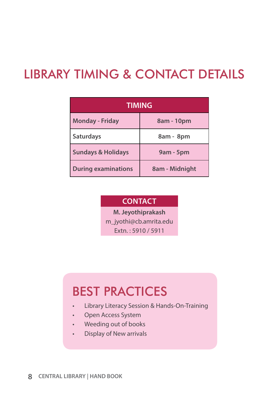#### LIBRARY TIMING & CONTACT DETAILS

| <b>TIMING</b>                 |                |  |
|-------------------------------|----------------|--|
| <b>Monday - Friday</b>        | 8am - 10pm     |  |
| <b>Saturdays</b>              | 8am - 8pm      |  |
| <b>Sundays &amp; Holidays</b> | 9am - 5pm      |  |
| <b>During examinations</b>    | 8am - Midnight |  |

#### **CONTACT**

**M. Jeyothiprakash** 

m\_jyothi@cb.amrita.edu

Extn. : 5910 / 5911

# BEST PRACTICES

- Library Literacy Session & Hands-On-Training
- Open Access System
- Weeding out of books
- Display of New arrivals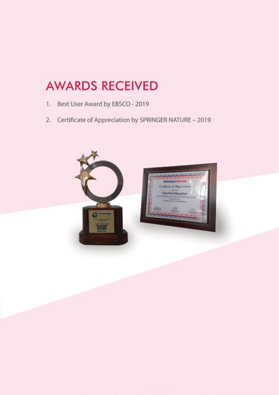#### **AWARDS RECEIVED**

- 1. Best User Award by EBSCO 2019
- 2. Certificate of Appreciation by SPRINGER NATURE 2019